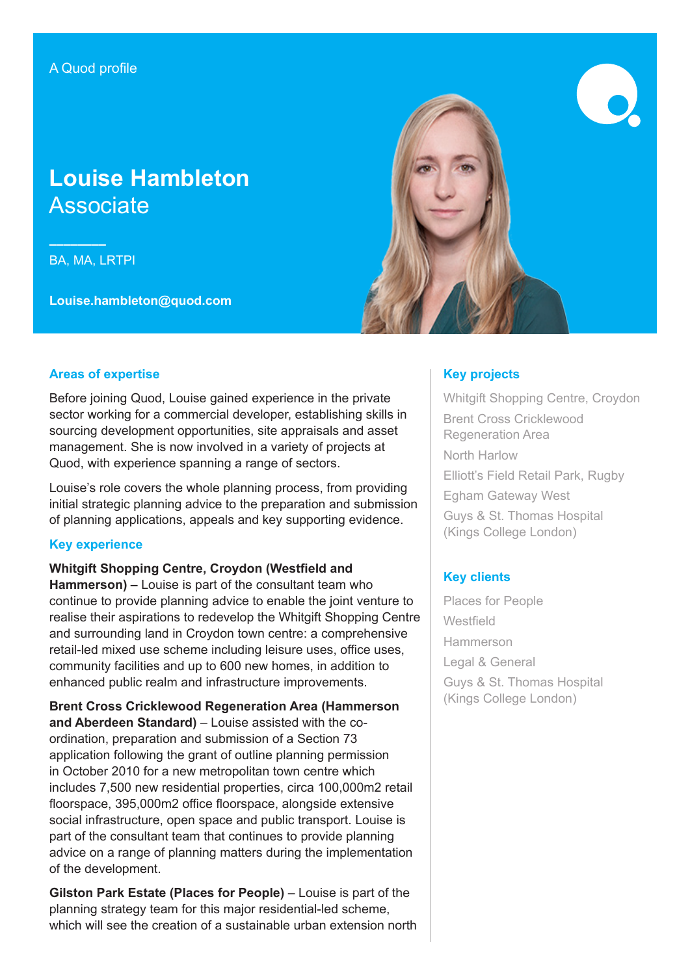# **Louise Hambleton** Associate

**––––––––** BA, MA, LRTPI

**Louise.hambleton@quod.com**



### **Areas of expertise**

Before joining Quod, Louise gained experience in the private sector working for a commercial developer, establishing skills in sourcing development opportunities, site appraisals and asset management. She is now involved in a variety of projects at Quod, with experience spanning a range of sectors.

Louise's role covers the whole planning process, from providing initial strategic planning advice to the preparation and submission of planning applications, appeals and key supporting evidence.

### **Key experience**

**Whitgift Shopping Centre, Croydon (Westfield and** 

**Hammerson) –** Louise is part of the consultant team who continue to provide planning advice to enable the joint venture to realise their aspirations to redevelop the Whitgift Shopping Centre and surrounding land in Croydon town centre: a comprehensive retail-led mixed use scheme including leisure uses, office uses, community facilities and up to 600 new homes, in addition to enhanced public realm and infrastructure improvements.

**Brent Cross Cricklewood Regeneration Area (Hammerson and Aberdeen Standard)** – Louise assisted with the coordination, preparation and submission of a Section 73 application following the grant of outline planning permission in October 2010 for a new metropolitan town centre which includes 7,500 new residential properties, circa 100,000m2 retail floorspace, 395,000m2 office floorspace, alongside extensive social infrastructure, open space and public transport. Louise is part of the consultant team that continues to provide planning advice on a range of planning matters during the implementation of the development.

**Gilston Park Estate (Places for People)** – Louise is part of the planning strategy team for this major residential-led scheme, which will see the creation of a sustainable urban extension north

# **Key projects**

Whitgift Shopping Centre, Croydon Brent Cross Cricklewood Regeneration Area North Harlow Elliott's Field Retail Park, Rugby Egham Gateway West Guys & St. Thomas Hospital (Kings College London)

# **Key clients**

Places for People **Westfield** Hammerson Legal & General Guys & St. Thomas Hospital (Kings College London)